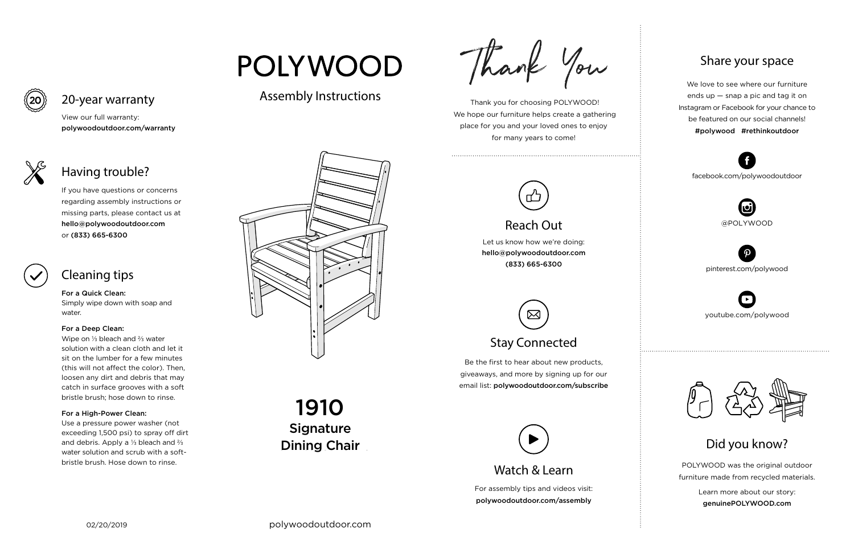For assembly tips and videos visit: polywoodoutdoor.com/assembly

 Thank you for choosing POLYWOOD! We hope our furniture helps create a gathering place for you and your loved ones to enjoy for many years to come!



Let us know how we're doing: hello@polywoodoutdoor.com (833) 665-6300

Be the first to hear about new products, giveaways, and more by signing up for our email list: polywoodoutdoor.com/subscribe

## $\boxtimes$ Stay Connected

POLYWOOD was the original outdoor furniture made from recycled materials.

> Learn more about our story: genuinePOLYWOOD.com

We love to see where our furniture ends up — snap a pic and tag it on Instagram or Facebook for your chance to be featured on our social channels! #polywood #rethinkoutdoor



youtube.com/polywood



pinterest.com/polywood



facebook.com/polywoodoutdoor





# **POLYWOOD**

#### Assembly Instructions





#### Reach Out

Signature Dining Chair 1910



#### Share your space

Did you know?

View our full warranty:

polywoodoutdoor.com/warranty

For a Quick Clean: Simply wipe down with soap and water.

#### For a Deep Clean:

Wipe on ⅓ bleach and ⅔ water solution with a clean cloth and let it sit on the lumber for a few minutes (this will not affect the color). Then, loosen any dirt and debris that may catch in surface grooves with a soft bristle brush; hose down to rinse.

#### For a High-Power Clean:

Use a pressure power washer (not exceeding 1,500 psi) to spray off dirt and debris. Apply a ⅓ bleach and ⅔ water solution and scrub with a softbristle brush. Hose down to rinse.



If you have questions or concerns regarding assembly instructions or missing parts, please contact us at hello@polywoodoutdoor.com or (833) 665-6300



20-year warranty

## Having trouble?

### Cleaning tips